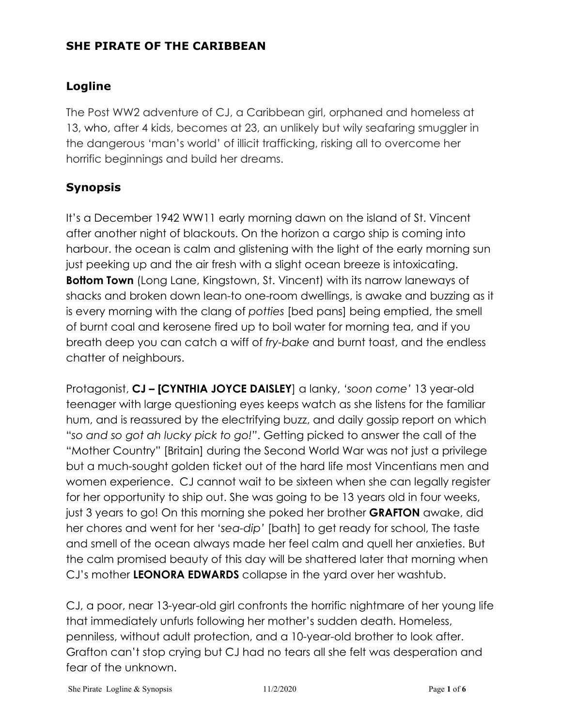## **SHE PIRATE OF THE CARIBBEAN**

## **Logline**

The Post WW2 adventure of CJ, a Caribbean girl, orphaned and homeless at 13, who, after 4 kids, becomes at 23, an unlikely but wily seafaring smuggler in the dangerous 'man's world' of illicit trafficking, risking all to overcome her horrific beginnings and build her dreams.

## **Synopsis**

It's a December 1942 WW11 early morning dawn on the island of St. Vincent after another night of blackouts. On the horizon a cargo ship is coming into harbour. the ocean is calm and glistening with the light of the early morning sun just peeking up and the air fresh with a slight ocean breeze is intoxicating. **Bottom Town** (Long Lane, Kingstown, St. Vincent) with its narrow laneways of shacks and broken down lean-to one-room dwellings, is awake and buzzing as it is every morning with the clang of *potties* [bed pans] being emptied, the smell of burnt coal and kerosene fired up to boil water for morning tea, and if you breath deep you can catch a wiff of *fry-bake* and burnt toast, and the endless chatter of neighbours.

Protagonist, **CJ – [CYNTHIA JOYCE DAISLEY**] a lanky, *'soon come'* 13 year-old teenager with large questioning eyes keeps watch as she listens for the familiar hum, and is reassured by the electrifying buzz, and daily gossip report on which "*so and so got ah lucky pick to go!"*. Getting picked to answer the call of the "Mother Country" [Britain] during the Second World War was not just a privilege but a much-sought golden ticket out of the hard life most Vincentians men and women experience. CJ cannot wait to be sixteen when she can legally register for her opportunity to ship out. She was going to be 13 years old in four weeks, just 3 years to go! On this morning she poked her brother **GRAFTON** awake, did her chores and went for her '*sea-dip'* [bath] to get ready for school, The taste and smell of the ocean always made her feel calm and quell her anxieties. But the calm promised beauty of this day will be shattered later that morning when CJ's mother **LEONORA EDWARDS** collapse in the yard over her washtub.

CJ, a poor, near 13-year-old girl confronts the horrific nightmare of her young life that immediately unfurls following her mother's sudden death. Homeless, penniless, without adult protection, and a 10-year-old brother to look after. Grafton can't stop crying but CJ had no tears all she felt was desperation and fear of the unknown.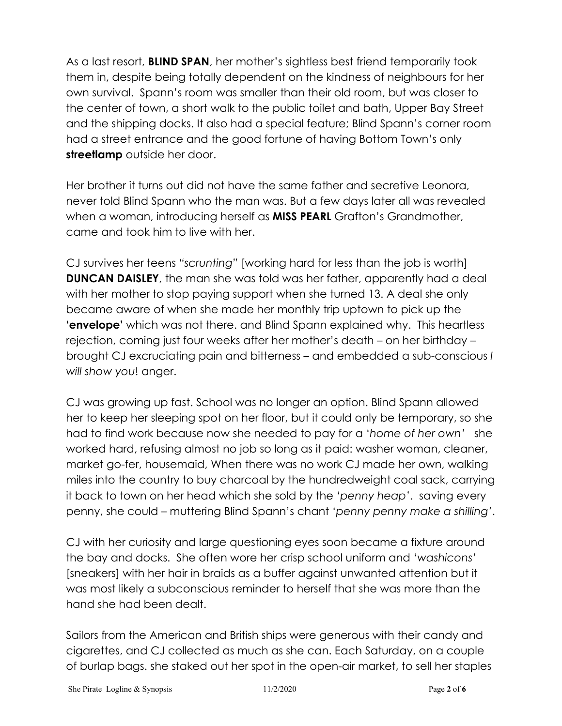As a last resort, **BLIND SPAN**, her mother's sightless best friend temporarily took them in, despite being totally dependent on the kindness of neighbours for her own survival. Spann's room was smaller than their old room, but was closer to the center of town, a short walk to the public toilet and bath, Upper Bay Street and the shipping docks. It also had a special feature; Blind Spann's corner room had a street entrance and the good fortune of having Bottom Town's only **streetlamp** outside her door.

Her brother it turns out did not have the same father and secretive Leonora, never told Blind Spann who the man was. But a few days later all was revealed when a woman, introducing herself as **MISS PEARL** Grafton's Grandmother, came and took him to live with her.

CJ survives her teens *"scrunting"* [working hard for less than the job is worth] **DUNCAN DAISLEY**, the man she was told was her father, apparently had a deal with her mother to stop paying support when she turned 13. A deal she only became aware of when she made her monthly trip uptown to pick up the **'envelope'** which was not there. and Blind Spann explained why. This heartless rejection, coming just four weeks after her mother's death – on her birthday – brought CJ excruciating pain and bitterness – and embedded a sub-conscious *I will show you*! anger.

CJ was growing up fast. School was no longer an option. Blind Spann allowed her to keep her sleeping spot on her floor, but it could only be temporary, so she had to find work because now she needed to pay for a '*home of her own'* she worked hard, refusing almost no job so long as it paid: washer woman, cleaner, market go-fer, housemaid, When there was no work CJ made her own, walking miles into the country to buy charcoal by the hundredweight coal sack, carrying it back to town on her head which she sold by the '*penny heap'*. saving every penny, she could – muttering Blind Spann's chant '*penny penny make a shilling'*.

CJ with her curiosity and large questioning eyes soon became a fixture around the bay and docks. She often wore her crisp school uniform and '*washicons'* [sneakers] with her hair in braids as a buffer against unwanted attention but it was most likely a subconscious reminder to herself that she was more than the hand she had been dealt.

Sailors from the American and British ships were generous with their candy and cigarettes, and CJ collected as much as she can. Each Saturday, on a couple of burlap bags. she staked out her spot in the open-air market, to sell her staples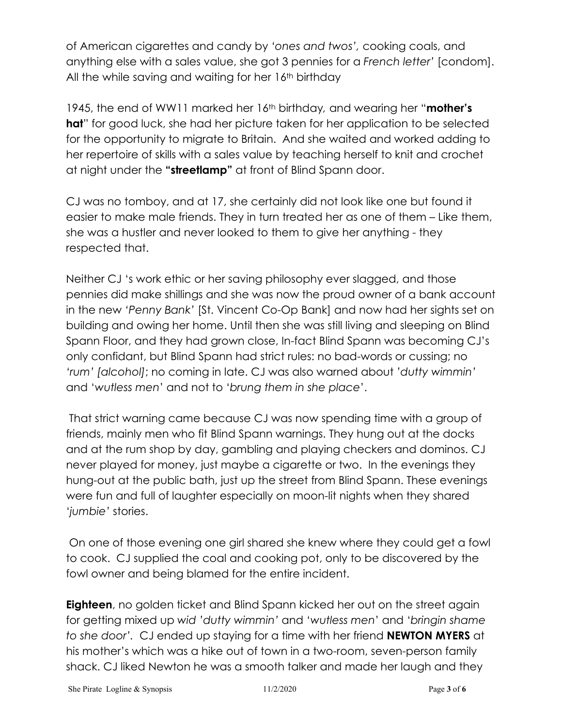of American cigarettes and candy by *'ones and twos',* cooking coals, and anything else with a sales value, she got 3 pennies for a *French letter'* [condom]. All the while saving and waiting for her 16<sup>th</sup> birthday

1945, the end of WW11 marked her 16th birthday*,* and wearing her "**mother's hat**" for good luck, she had her picture taken for her application to be selected for the opportunity to migrate to Britain. And she waited and worked adding to her repertoire of skills with a sales value by teaching herself to knit and crochet at night under the **"streetlamp"** at front of Blind Spann door.

CJ was no tomboy, and at 17, she certainly did not look like one but found it easier to make male friends. They in turn treated her as one of them – Like them, she was a hustler and never looked to them to give her anything - they respected that.

Neither CJ 's work ethic or her saving philosophy ever slagged, and those pennies did make shillings and she was now the proud owner of a bank account in the new *'Penny Bank'* [St. Vincent Co-Op Bank] and now had her sights set on building and owing her home. Until then she was still living and sleeping on Blind Spann Floor, and they had grown close, In-fact Blind Spann was becoming CJ's only confidant, but Blind Spann had strict rules: no bad-words or cussing; no *'rum' [alcohol]*; no coming in late. CJ was also warned about *'dutty wimmin'* and '*wutless men*' and not to '*brung them in she place*'.

That strict warning came because CJ was now spending time with a group of friends, mainly men who fit Blind Spann warnings. They hung out at the docks and at the rum shop by day, gambling and playing checkers and dominos. CJ never played for money, just maybe a cigarette or two. In the evenings they hung-out at the public bath, just up the street from Blind Spann. These evenings were fun and full of laughter especially on moon-lit nights when they shared '*jumbie'* stories.

On one of those evening one girl shared she knew where they could get a fowl to cook. CJ supplied the coal and cooking pot, only to be discovered by the fowl owner and being blamed for the entire incident.

**Eighteen**, no golden ticket and Blind Spann kicked her out on the street again for getting mixed up *wid 'dutty wimmin'* and '*wutless men*' and '*bringin shame to she door'.* CJ ended up staying for a time with her friend **NEWTON MYERS** at his mother's which was a hike out of town in a two-room, seven-person family shack. CJ liked Newton he was a smooth talker and made her laugh and they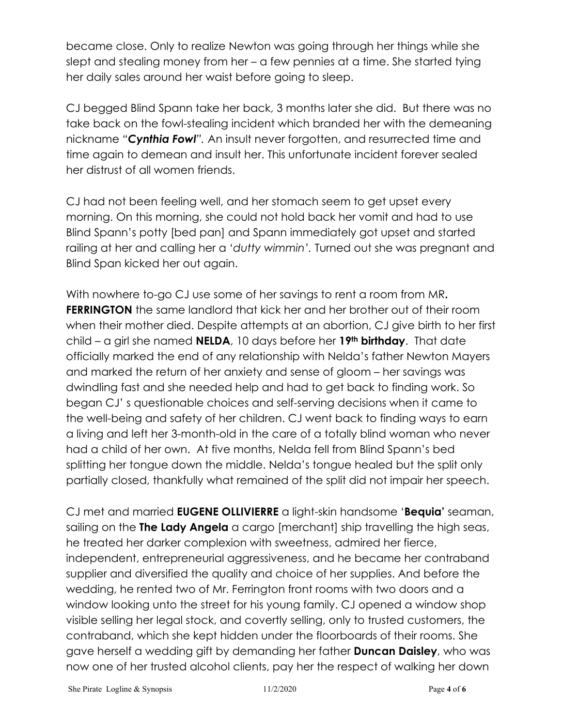became close. Only to realize Newton was going through her things while she slept and stealing money from her – a few pennies at a time. She started tying her daily sales around her waist before going to sleep.

CJ begged Blind Spann take her back, 3 months later she did. But there was no take back on the fowl-stealing incident which branded her with the demeaning nickname *"Cynthia Fowl".* An insult never forgotten, and resurrected time and time again to demean and insult her. This unfortunate incident forever sealed her distrust of all women friends.

CJ had not been feeling well, and her stomach seem to get upset every morning. On this morning, she could not hold back her vomit and had to use Blind Spann's potty [bed pan] and Spann immediately got upset and started railing at her and calling her a '*dutty wimmin'.* Turned out she was pregnant and Blind Span kicked her out again.

With nowhere to-go CJ use some of her savings to rent a room from MR**. FERRINGTON** the same landlord that kick her and her brother out of their room when their mother died. Despite attempts at an abortion, CJ give birth to her first child – a girl she named **NELDA**, 10 days before her **19th birthday**. That date officially marked the end of any relationship with Nelda's father Newton Mayers and marked the return of her anxiety and sense of gloom – her savings was dwindling fast and she needed help and had to get back to finding work. So began CJ' s questionable choices and self-serving decisions when it came to the well-being and safety of her children. CJ went back to finding ways to earn a living and left her 3-month-old in the care of a totally blind woman who never had a child of her own. At five months, Nelda fell from Blind Spann's bed splitting her tongue down the middle. Nelda's tongue healed but the split only partially closed, thankfully what remained of the split did not impair her speech.

CJ met and married **EUGENE OLLIVIERRE** a light-skin handsome '**Bequia'** seaman, sailing on the **The Lady Angela** a cargo [merchant] ship travelling the high seas, he treated her darker complexion with sweetness, admired her fierce, independent, entrepreneurial aggressiveness, and he became her contraband supplier and diversified the quality and choice of her supplies. And before the wedding, he rented two of Mr. Ferrington front rooms with two doors and a window looking unto the street for his young family. CJ opened a window shop visible selling her legal stock, and covertly selling, only to trusted customers, the contraband, which she kept hidden under the floorboards of their rooms. She gave herself a wedding gift by demanding her father **Duncan Daisley**, who was now one of her trusted alcohol clients, pay her the respect of walking her down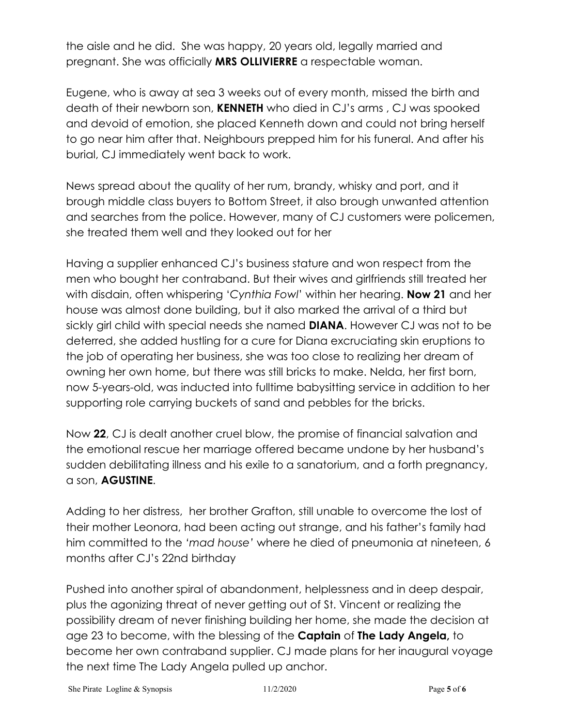the aisle and he did. She was happy, 20 years old, legally married and pregnant. She was officially **MRS OLLIVIERRE** a respectable woman.

Eugene, who is away at sea 3 weeks out of every month, missed the birth and death of their newborn son, **KENNETH** who died in CJ's arms , CJ was spooked and devoid of emotion, she placed Kenneth down and could not bring herself to go near him after that. Neighbours prepped him for his funeral. And after his burial, CJ immediately went back to work.

News spread about the quality of her rum, brandy, whisky and port, and it brough middle class buyers to Bottom Street, it also brough unwanted attention and searches from the police. However, many of CJ customers were policemen, she treated them well and they looked out for her

Having a supplier enhanced CJ's business stature and won respect from the men who bought her contraband. But their wives and girlfriends still treated her with disdain, often whispering '*Cynthia Fowl*' within her hearing. **Now 21** and her house was almost done building, but it also marked the arrival of a third but sickly girl child with special needs she named **DIANA**. However CJ was not to be deterred, she added hustling for a cure for Diana excruciating skin eruptions to the job of operating her business, she was too close to realizing her dream of owning her own home, but there was still bricks to make. Nelda, her first born, now 5-years-old, was inducted into fulltime babysitting service in addition to her supporting role carrying buckets of sand and pebbles for the bricks.

Now **22**, CJ is dealt another cruel blow, the promise of financial salvation and the emotional rescue her marriage offered became undone by her husband's sudden debilitating illness and his exile to a sanatorium, and a forth pregnancy, a son, **AGUSTINE**.

Adding to her distress, her brother Grafton, still unable to overcome the lost of their mother Leonora, had been acting out strange, and his father's family had him committed to the *'mad house'* where he died of pneumonia at nineteen, 6 months after CJ's 22nd birthday

Pushed into another spiral of abandonment, helplessness and in deep despair, plus the agonizing threat of never getting out of St. Vincent or realizing the possibility dream of never finishing building her home, she made the decision at age 23 to become, with the blessing of the **Captain** of **The Lady Angela,** to become her own contraband supplier. CJ made plans for her inaugural voyage the next time The Lady Angela pulled up anchor.